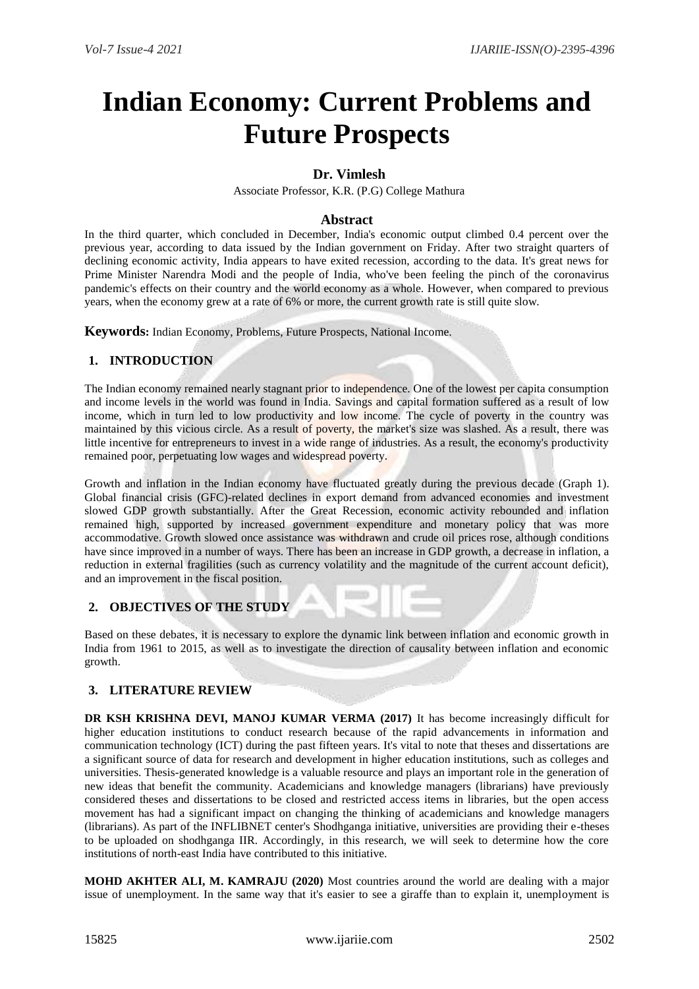# **Indian Economy: Current Problems and Future Prospects**

# **Dr. Vimlesh**

Associate Professor, K.R. (P.G) College Mathura

## **Abstract**

In the third quarter, which concluded in December, India's economic output climbed 0.4 percent over the previous year, according to data issued by the Indian government on Friday. After two straight quarters of declining economic activity, India appears to have exited recession, according to the data. It's great news for Prime Minister Narendra Modi and the people of India, who've been feeling the pinch of the coronavirus pandemic's effects on their country and the world economy as a whole. However, when compared to previous years, when the economy grew at a rate of 6% or more, the current growth rate is still quite slow.

**Keywords:** Indian Economy, Problems, Future Prospects, National Income.

# **1. INTRODUCTION**

The Indian economy remained nearly stagnant prior to independence. One of the lowest per capita consumption and income levels in the world was found in India. Savings and capital formation suffered as a result of low income, which in turn led to low productivity and low income. The cycle of poverty in the country was maintained by this vicious circle. As a result of poverty, the market's size was slashed. As a result, there was little incentive for entrepreneurs to invest in a wide range of industries. As a result, the economy's productivity remained poor, perpetuating low wages and widespread poverty.

Growth and inflation in the Indian economy have fluctuated greatly during the previous decade (Graph 1). Global financial crisis (GFC)-related declines in export demand from advanced economies and investment slowed GDP growth substantially. After the Great Recession, economic activity rebounded and inflation remained high, supported by increased government expenditure and monetary policy that was more accommodative. Growth slowed once assistance was withdrawn and crude oil prices rose, although conditions have since improved in a number of ways. There has been an increase in GDP growth, a decrease in inflation, a reduction in external fragilities (such as currency volatility and the magnitude of the current account deficit), and an improvement in the fiscal position.

# **2. OBJECTIVES OF THE STUDY**

Based on these debates, it is necessary to explore the dynamic link between inflation and economic growth in India from 1961 to 2015, as well as to investigate the direction of causality between inflation and economic growth.

# **3. LITERATURE REVIEW**

**DR KSH KRISHNA DEVI, MANOJ KUMAR VERMA (2017)** It has become increasingly difficult for higher education institutions to conduct research because of the rapid advancements in information and communication technology (ICT) during the past fifteen years. It's vital to note that theses and dissertations are a significant source of data for research and development in higher education institutions, such as colleges and universities. Thesis-generated knowledge is a valuable resource and plays an important role in the generation of new ideas that benefit the community. Academicians and knowledge managers (librarians) have previously considered theses and dissertations to be closed and restricted access items in libraries, but the open access movement has had a significant impact on changing the thinking of academicians and knowledge managers (librarians). As part of the INFLIBNET center's Shodhganga initiative, universities are providing their e-theses to be uploaded on shodhganga IIR. Accordingly, in this research, we will seek to determine how the core institutions of north-east India have contributed to this initiative.

**MOHD AKHTER ALI, M. KAMRAJU (2020)** Most countries around the world are dealing with a major issue of unemployment. In the same way that it's easier to see a giraffe than to explain it, unemployment is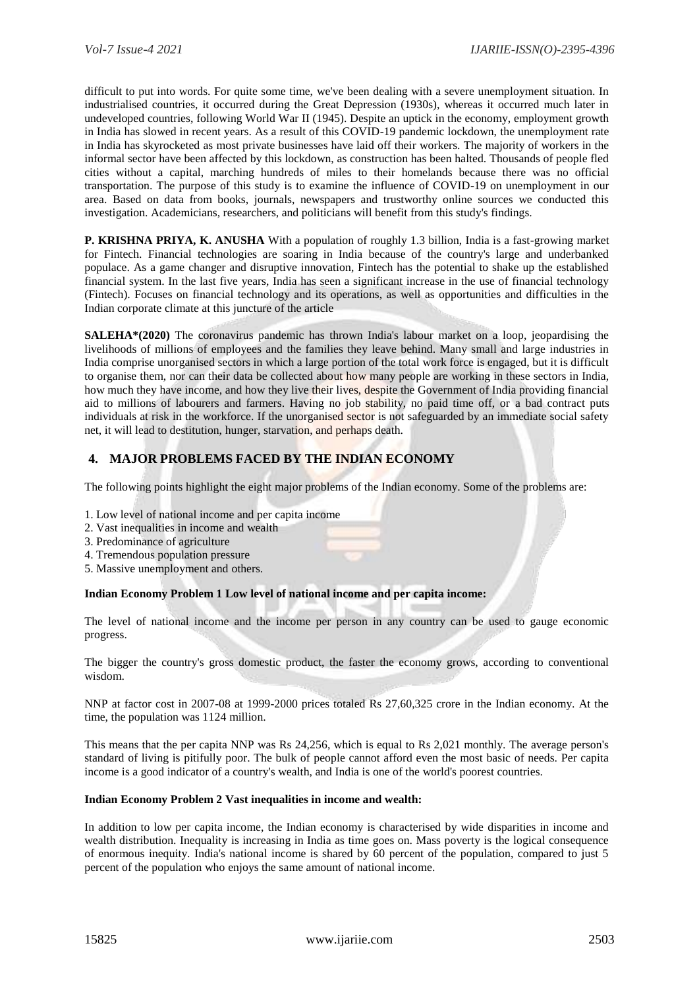difficult to put into words. For quite some time, we've been dealing with a severe unemployment situation. In industrialised countries, it occurred during the Great Depression (1930s), whereas it occurred much later in undeveloped countries, following World War II (1945). Despite an uptick in the economy, employment growth in India has slowed in recent years. As a result of this COVID-19 pandemic lockdown, the unemployment rate in India has skyrocketed as most private businesses have laid off their workers. The majority of workers in the informal sector have been affected by this lockdown, as construction has been halted. Thousands of people fled cities without a capital, marching hundreds of miles to their homelands because there was no official transportation. The purpose of this study is to examine the influence of COVID-19 on unemployment in our area. Based on data from books, journals, newspapers and trustworthy online sources we conducted this investigation. Academicians, researchers, and politicians will benefit from this study's findings.

**P. KRISHNA PRIYA, K. ANUSHA** With a population of roughly 1.3 billion, India is a fast-growing market for Fintech. Financial technologies are soaring in India because of the country's large and underbanked populace. As a game changer and disruptive innovation, Fintech has the potential to shake up the established financial system. In the last five years, India has seen a significant increase in the use of financial technology (Fintech). Focuses on financial technology and its operations, as well as opportunities and difficulties in the Indian corporate climate at this juncture of the article

**SALEHA\*(2020)** The coronavirus pandemic has thrown India's labour market on a loop, jeopardising the livelihoods of millions of employees and the families they leave behind. Many small and large industries in India comprise unorganised sectors in which a large portion of the total work force is engaged, but it is difficult to organise them, nor can their data be collected about how many people are working in these sectors in India, how much they have income, and how they live their lives, despite the Government of India providing financial aid to millions of labourers and farmers. Having no job stability, no paid time off, or a bad contract puts individuals at risk in the workforce. If the unorganised sector is not safeguarded by an immediate social safety net, it will lead to destitution, hunger, starvation, and perhaps death.

## **4. MAJOR PROBLEMS FACED BY THE INDIAN ECONOMY**

The following points highlight the eight major problems of the Indian economy. Some of the problems are:

- 1. Low level of national income and per capita income
- 2. Vast inequalities in income and wealth
- 3. Predominance of agriculture
- 4. Tremendous population pressure
- 5. Massive unemployment and others.

#### **Indian Economy Problem 1 Low level of national income and per capita income:**

The level of national income and the income per person in any country can be used to gauge economic progress.

The bigger the country's gross domestic product, the faster the economy grows, according to conventional wisdom.

NNP at factor cost in 2007-08 at 1999-2000 prices totaled Rs 27,60,325 crore in the Indian economy. At the time, the population was 1124 million.

This means that the per capita NNP was Rs 24,256, which is equal to Rs 2,021 monthly. The average person's standard of living is pitifully poor. The bulk of people cannot afford even the most basic of needs. Per capita income is a good indicator of a country's wealth, and India is one of the world's poorest countries.

#### **Indian Economy Problem 2 Vast inequalities in income and wealth:**

In addition to low per capita income, the Indian economy is characterised by wide disparities in income and wealth distribution. Inequality is increasing in India as time goes on. Mass poverty is the logical consequence of enormous inequity. India's national income is shared by 60 percent of the population, compared to just 5 percent of the population who enjoys the same amount of national income.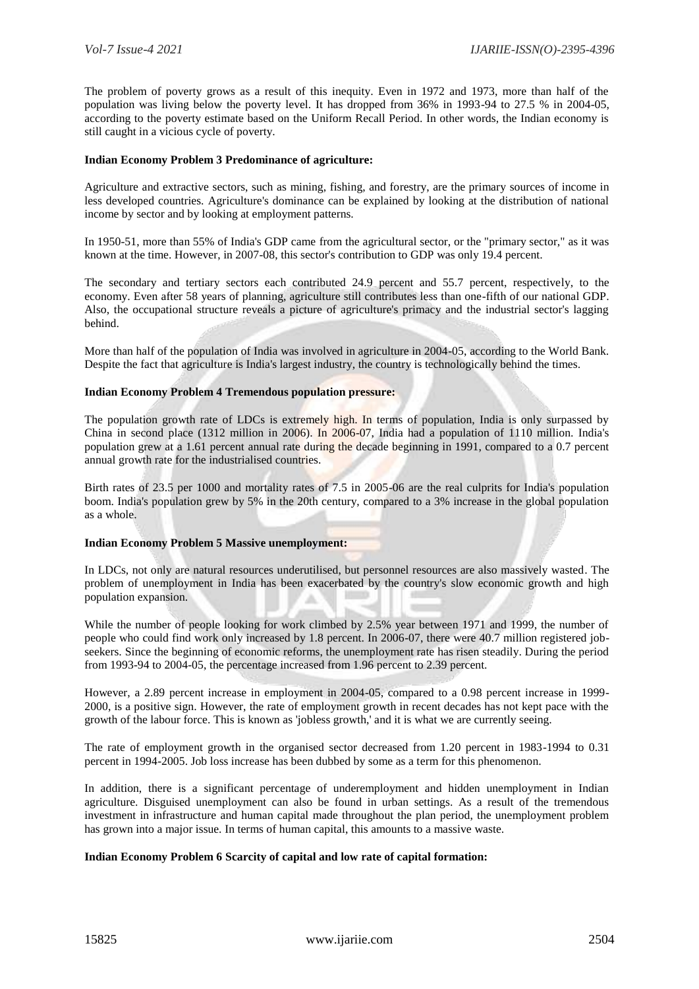The problem of poverty grows as a result of this inequity. Even in 1972 and 1973, more than half of the population was living below the poverty level. It has dropped from 36% in 1993-94 to 27.5 % in 2004-05, according to the poverty estimate based on the Uniform Recall Period. In other words, the Indian economy is still caught in a vicious cycle of poverty.

#### **Indian Economy Problem 3 Predominance of agriculture:**

Agriculture and extractive sectors, such as mining, fishing, and forestry, are the primary sources of income in less developed countries. Agriculture's dominance can be explained by looking at the distribution of national income by sector and by looking at employment patterns.

In 1950-51, more than 55% of India's GDP came from the agricultural sector, or the "primary sector," as it was known at the time. However, in 2007-08, this sector's contribution to GDP was only 19.4 percent.

The secondary and tertiary sectors each contributed 24.9 percent and 55.7 percent, respectively, to the economy. Even after 58 years of planning, agriculture still contributes less than one-fifth of our national GDP. Also, the occupational structure reveals a picture of agriculture's primacy and the industrial sector's lagging behind.

More than half of the population of India was involved in agriculture in 2004-05, according to the World Bank. Despite the fact that agriculture is India's largest industry, the country is technologically behind the times.

#### **Indian Economy Problem 4 Tremendous population pressure:**

The population growth rate of LDCs is extremely high. In terms of population, India is only surpassed by China in second place (1312 million in 2006). In 2006-07, India had a population of 1110 million. India's population grew at a 1.61 percent annual rate during the decade beginning in 1991, compared to a 0.7 percent annual growth rate for the industrialised countries.

Birth rates of 23.5 per 1000 and mortality rates of 7.5 in 2005-06 are the real culprits for India's population boom. India's population grew by 5% in the 20th century, compared to a 3% increase in the global population as a whole.

#### **Indian Economy Problem 5 Massive unemployment:**

In LDCs, not only are natural resources underutilised, but personnel resources are also massively wasted. The problem of unemployment in India has been exacerbated by the country's slow economic growth and high population expansion.

While the number of people looking for work climbed by 2.5% year between 1971 and 1999, the number of people who could find work only increased by 1.8 percent. In 2006-07, there were 40.7 million registered jobseekers. Since the beginning of economic reforms, the unemployment rate has risen steadily. During the period from 1993-94 to 2004-05, the percentage increased from 1.96 percent to 2.39 percent.

However, a 2.89 percent increase in employment in 2004-05, compared to a 0.98 percent increase in 1999- 2000, is a positive sign. However, the rate of employment growth in recent decades has not kept pace with the growth of the labour force. This is known as 'jobless growth,' and it is what we are currently seeing.

The rate of employment growth in the organised sector decreased from 1.20 percent in 1983-1994 to 0.31 percent in 1994-2005. Job loss increase has been dubbed by some as a term for this phenomenon.

In addition, there is a significant percentage of underemployment and hidden unemployment in Indian agriculture. Disguised unemployment can also be found in urban settings. As a result of the tremendous investment in infrastructure and human capital made throughout the plan period, the unemployment problem has grown into a major issue. In terms of human capital, this amounts to a massive waste.

#### **Indian Economy Problem 6 Scarcity of capital and low rate of capital formation:**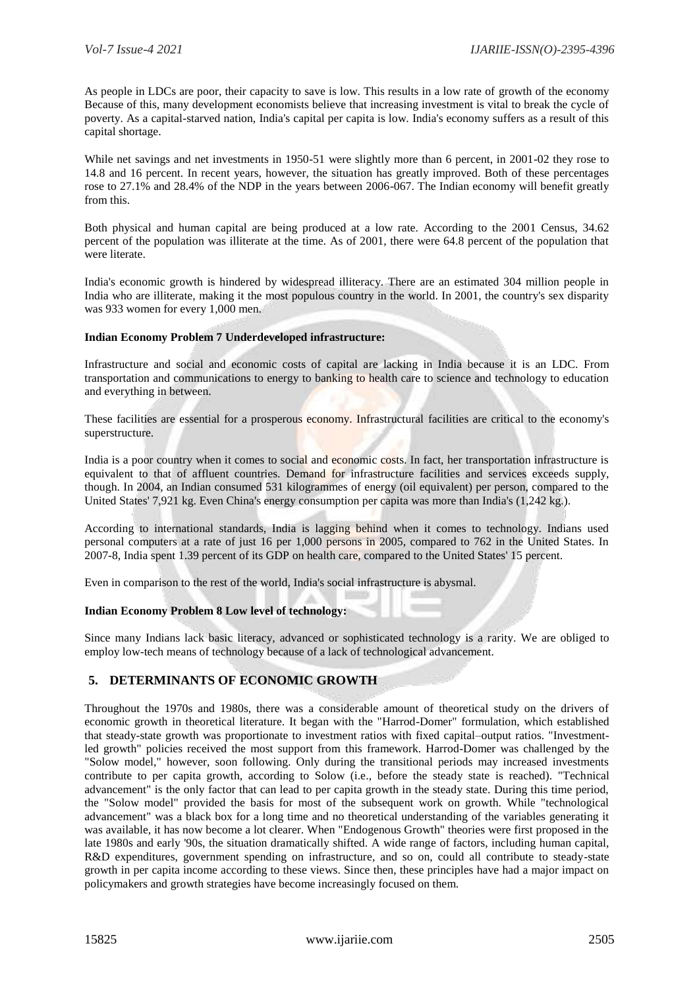As people in LDCs are poor, their capacity to save is low. This results in a low rate of growth of the economy Because of this, many development economists believe that increasing investment is vital to break the cycle of poverty. As a capital-starved nation, India's capital per capita is low. India's economy suffers as a result of this capital shortage.

While net savings and net investments in 1950-51 were slightly more than 6 percent, in 2001-02 they rose to 14.8 and 16 percent. In recent years, however, the situation has greatly improved. Both of these percentages rose to 27.1% and 28.4% of the NDP in the years between 2006-067. The Indian economy will benefit greatly from this.

Both physical and human capital are being produced at a low rate. According to the 2001 Census, 34.62 percent of the population was illiterate at the time. As of 2001, there were 64.8 percent of the population that were literate.

India's economic growth is hindered by widespread illiteracy. There are an estimated 304 million people in India who are illiterate, making it the most populous country in the world. In 2001, the country's sex disparity was 933 women for every 1,000 men.

## **Indian Economy Problem 7 Underdeveloped infrastructure:**

Infrastructure and social and economic costs of capital are lacking in India because it is an LDC. From transportation and communications to energy to banking to health care to science and technology to education and everything in between.

These facilities are essential for a prosperous economy. Infrastructural facilities are critical to the economy's superstructure.

India is a poor country when it comes to social and economic costs. In fact, her transportation infrastructure is equivalent to that of affluent countries. Demand for infrastructure facilities and services exceeds supply, though. In 2004, an Indian consumed 531 kilogrammes of energy (oil equivalent) per person, compared to the United States' 7,921 kg. Even China's energy consumption per capita was more than India's (1,242 kg.).

According to international standards, India is lagging behind when it comes to technology. Indians used personal computers at a rate of just 16 per 1,000 persons in 2005, compared to 762 in the United States. In 2007-8, India spent 1.39 percent of its GDP on health care, compared to the United States' 15 percent.

Even in comparison to the rest of the world, India's social infrastructure is abysmal.

#### **Indian Economy Problem 8 Low level of technology:**

Since many Indians lack basic literacy, advanced or sophisticated technology is a rarity. We are obliged to employ low-tech means of technology because of a lack of technological advancement.

## **5. DETERMINANTS OF ECONOMIC GROWTH**

Throughout the 1970s and 1980s, there was a considerable amount of theoretical study on the drivers of economic growth in theoretical literature. It began with the "Harrod-Domer" formulation, which established that steady-state growth was proportionate to investment ratios with fixed capital–output ratios. "Investmentled growth" policies received the most support from this framework. Harrod-Domer was challenged by the "Solow model," however, soon following. Only during the transitional periods may increased investments contribute to per capita growth, according to Solow (i.e., before the steady state is reached). "Technical advancement" is the only factor that can lead to per capita growth in the steady state. During this time period, the "Solow model" provided the basis for most of the subsequent work on growth. While "technological advancement" was a black box for a long time and no theoretical understanding of the variables generating it was available, it has now become a lot clearer. When "Endogenous Growth" theories were first proposed in the late 1980s and early '90s, the situation dramatically shifted. A wide range of factors, including human capital, R&D expenditures, government spending on infrastructure, and so on, could all contribute to steady-state growth in per capita income according to these views. Since then, these principles have had a major impact on policymakers and growth strategies have become increasingly focused on them.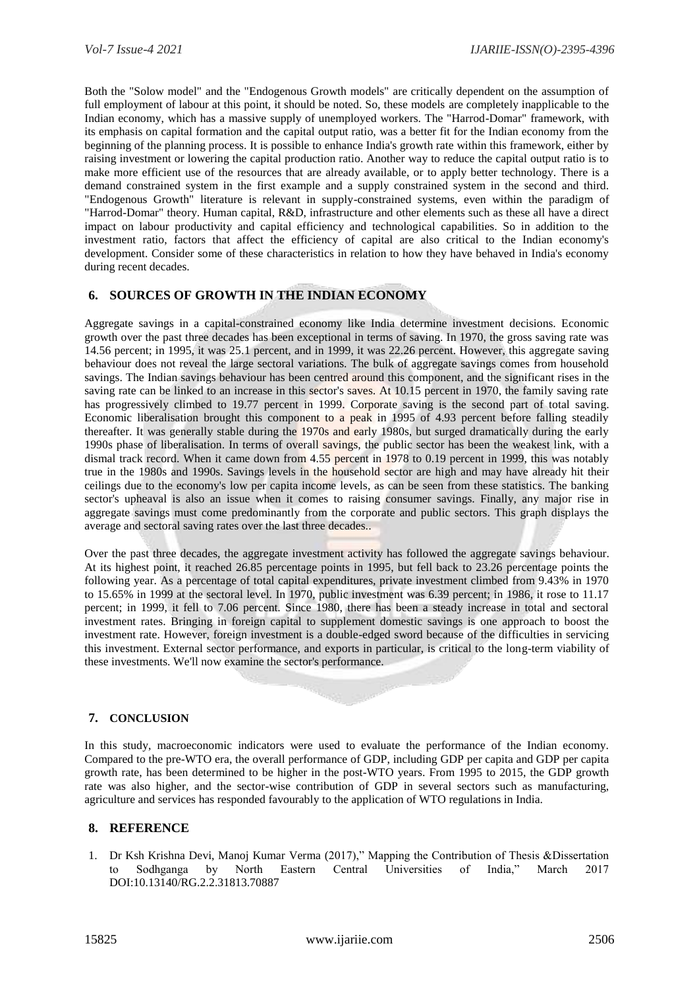Both the "Solow model" and the "Endogenous Growth models" are critically dependent on the assumption of full employment of labour at this point, it should be noted. So, these models are completely inapplicable to the Indian economy, which has a massive supply of unemployed workers. The "Harrod-Domar" framework, with its emphasis on capital formation and the capital output ratio, was a better fit for the Indian economy from the beginning of the planning process. It is possible to enhance India's growth rate within this framework, either by raising investment or lowering the capital production ratio. Another way to reduce the capital output ratio is to make more efficient use of the resources that are already available, or to apply better technology. There is a demand constrained system in the first example and a supply constrained system in the second and third. "Endogenous Growth" literature is relevant in supply-constrained systems, even within the paradigm of "Harrod-Domar" theory. Human capital, R&D, infrastructure and other elements such as these all have a direct impact on labour productivity and capital efficiency and technological capabilities. So in addition to the investment ratio, factors that affect the efficiency of capital are also critical to the Indian economy's development. Consider some of these characteristics in relation to how they have behaved in India's economy during recent decades.

## **6. SOURCES OF GROWTH IN THE INDIAN ECONOMY**

Aggregate savings in a capital-constrained economy like India determine investment decisions. Economic growth over the past three decades has been exceptional in terms of saving. In 1970, the gross saving rate was 14.56 percent; in 1995, it was 25.1 percent, and in 1999, it was 22.26 percent. However, this aggregate saving behaviour does not reveal the large sectoral variations. The bulk of aggregate savings comes from household savings. The Indian savings behaviour has been centred around this component, and the significant rises in the saving rate can be linked to an increase in this sector's saves. At 10.15 percent in 1970, the family saving rate has progressively climbed to 19.77 percent in 1999. Corporate saving is the second part of total saving. Economic liberalisation brought this component to a peak in 1995 of 4.93 percent before falling steadily thereafter. It was generally stable during the 1970s and early 1980s, but surged dramatically during the early 1990s phase of liberalisation. In terms of overall savings, the public sector has been the weakest link, with a dismal track record. When it came down from 4.55 percent in 1978 to 0.19 percent in 1999, this was notably true in the 1980s and 1990s. Savings levels in the household sector are high and may have already hit their ceilings due to the economy's low per capita income levels, as can be seen from these statistics. The banking sector's upheaval is also an issue when it comes to raising consumer savings. Finally, any major rise in aggregate savings must come predominantly from the corporate and public sectors. This graph displays the average and sectoral saving rates over the last three decades..

Over the past three decades, the aggregate investment activity has followed the aggregate savings behaviour. At its highest point, it reached 26.85 percentage points in 1995, but fell back to 23.26 percentage points the following year. As a percentage of total capital expenditures, private investment climbed from 9.43% in 1970 to 15.65% in 1999 at the sectoral level. In 1970, public investment was 6.39 percent; in 1986, it rose to 11.17 percent; in 1999, it fell to 7.06 percent. Since 1980, there has been a steady increase in total and sectoral investment rates. Bringing in foreign capital to supplement domestic savings is one approach to boost the investment rate. However, foreign investment is a double-edged sword because of the difficulties in servicing this investment. External sector performance, and exports in particular, is critical to the long-term viability of these investments. We'll now examine the sector's performance.

#### **7. CONCLUSION**

In this study, macroeconomic indicators were used to evaluate the performance of the Indian economy. Compared to the pre-WTO era, the overall performance of GDP, including GDP per capita and GDP per capita growth rate, has been determined to be higher in the post-WTO years. From 1995 to 2015, the GDP growth rate was also higher, and the sector-wise contribution of GDP in several sectors such as manufacturing, agriculture and services has responded favourably to the application of WTO regulations in India.

#### **8. REFERENCE**

1. Dr Ksh Krishna Devi, Manoj Kumar Verma (2017)," Mapping the Contribution of Thesis &Dissertation to Sodhganga by North Eastern Central Universities of India," March 2017 DOI:10.13140/RG.2.2.31813.70887